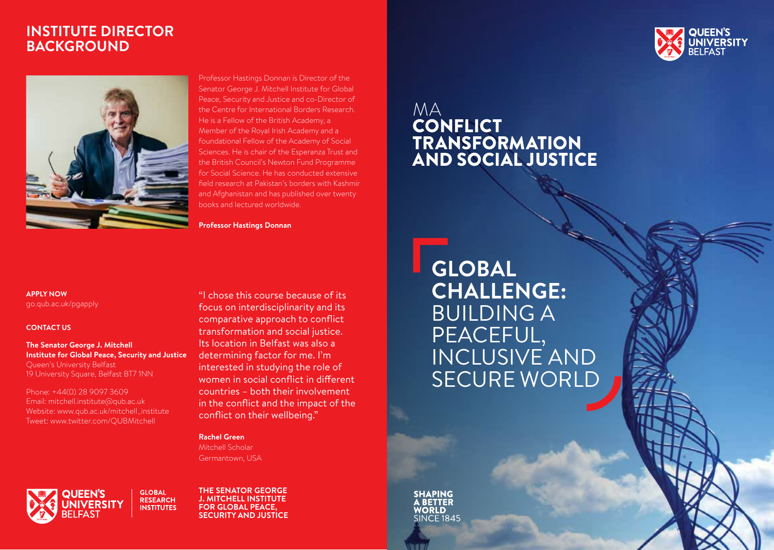# **INSTITUTE DIRECTOR BACKGROUND**



Professor Hastings Donnan is Director of the Senator George J. Mitchell Institute for Global Peace, Security and Justice and co-Director of the Centre for International Borders Research. He is a Fellow of the British Academy, a Member of the Royal Irish Academy and a foundational Fellow of the Academy of Social Sciences. He is chair of the Esperanza Trust and the British Council's Newton Fund Programme for Social Science. He has conducted extensive field research at Pakistan's borders with Kashmir and Afghanistan and has published over twenty books and lectured worldwide.

**Professor Hastings Donnan**

# MA **CONFLICT** TRANSFORMATION AND SOCIAL JUSTICE

**APPLY NOW**  go.qub.ac.uk/pgapply

#### **CONTACT US**

**The Senator George J. Mitchell Institute for Global Peace, Security and Justice** Queen's University Belfast 19 University Square, Belfast BT7 1NN

Phone: +44(0) 28 9097 3609 Email: mitchell.institute@qub.ac.uk Website: www.qub.ac.uk/mitchell\_institute Tweet: www.twitter.com/QUBMitchell

"I chose this course because of its focus on interdisciplinarity and its comparative approach to conflict transformation and social justice. Its location in Belfast was also a determining factor for me. I'm interested in studying the role of women in social conflict in different countries – both their involvement in the conflict and the impact of the conflict on their wellbeing."

#### **Rachel Green**

Mitchell Scholar Germantown, USA

**GLOBAL UEEN'S RESEARCH INSTITUTES** 

**THE SENATOR GEORGE J. MITCHELL INSTITUTE FOR GLOBAL PEACE, SECURITY AND JUSTICE** **GLOBAL CHALLENGE:** BUILDING A PEACEFUL, INCLUSIVE AND SECURE WORLD

**SHAPING BETTER WORLD** SINCE 1845